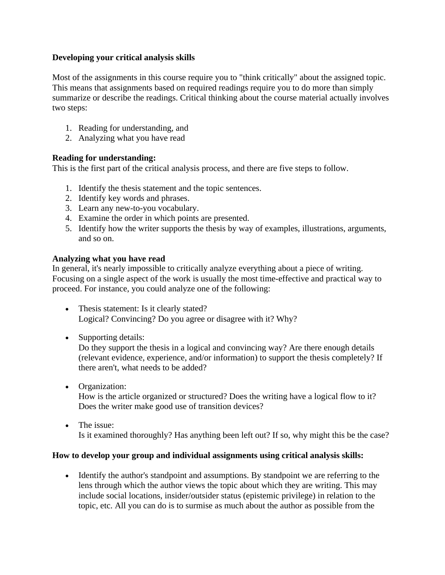## **Developing your critical analysis skills**

Most of the assignments in this course require you to "think critically" about the assigned topic. This means that assignments based on required readings require you to do more than simply summarize or describe the readings. Critical thinking about the course material actually involves two steps:

- 1. Reading for understanding, and
- 2. Analyzing what you have read

## **Reading for understanding:**

This is the first part of the critical analysis process, and there are five steps to follow.

- 1. Identify the thesis statement and the topic sentences.
- 2. Identify key words and phrases.
- 3. Learn any new-to-you vocabulary.
- 4. Examine the order in which points are presented.
- 5. Identify how the writer supports the thesis by way of examples, illustrations, arguments, and so on.

## **Analyzing what you have read**

In general, it's nearly impossible to critically analyze everything about a piece of writing. Focusing on a single aspect of the work is usually the most time-effective and practical way to proceed. For instance, you could analyze one of the following:

- Thesis statement: Is it clearly stated? Logical? Convincing? Do you agree or disagree with it? Why?
- Supporting details:

Do they support the thesis in a logical and convincing way? Are there enough details (relevant evidence, experience, and/or information) to support the thesis completely? If there aren't, what needs to be added?

• Organization:

How is the article organized or structured? Does the writing have a logical flow to it? Does the writer make good use of transition devices?

• The issue: Is it examined thoroughly? Has anything been left out? If so, why might this be the case?

## **How to develop your group and individual assignments using critical analysis skills:**

• Identify the author's standpoint and assumptions. By standpoint we are referring to the lens through which the author views the topic about which they are writing. This may include social locations, insider/outsider status (epistemic privilege) in relation to the topic, etc. All you can do is to surmise as much about the author as possible from the